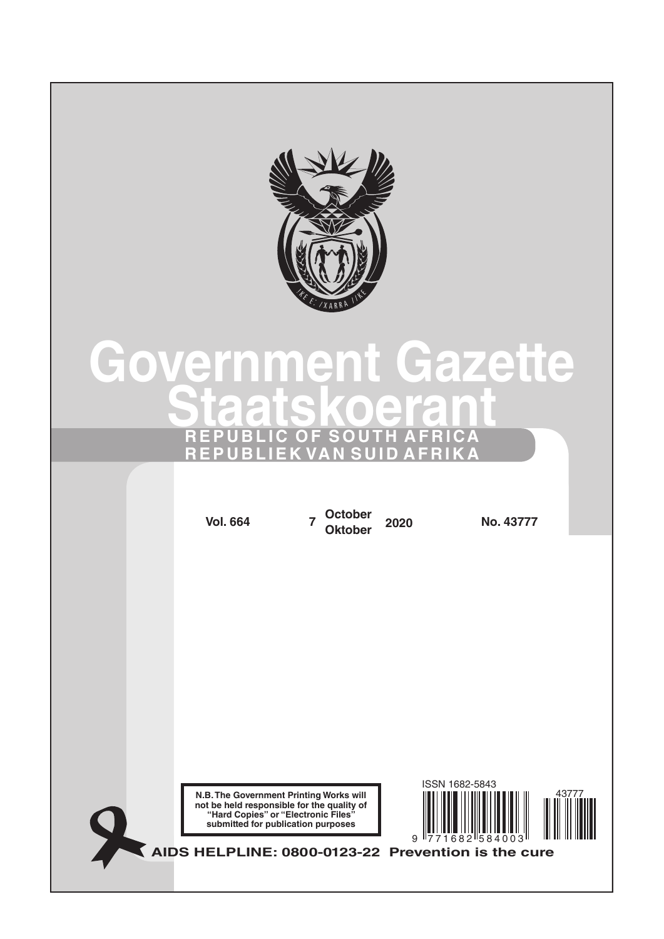

# **Government Gazette Staatskoerant REPUBLIC OF SOUTH AFRICA REPUBLIEK VAN SUID AFRIKA**

**N.B. The Government Printing Works will not be held responsible for the quality of "Hard Copies" or "Electronic Files" submitted for publication purposes AIDS HELPLINE: 0800-0123-22 Prevention is the cure Vol. 664 <sup>7</sup> October Oktober <sup>2020</sup> No. 43777** 9 771682 584003 ISSN 1682-5843 43777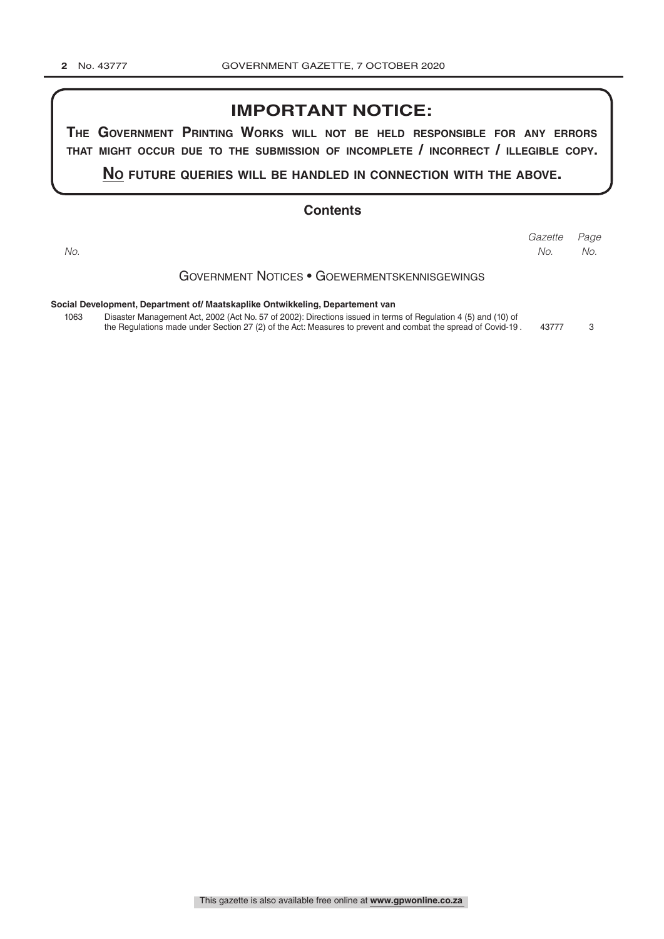### **IMPORTANT NOTICE:**

**The GovernmenT PrinTinG Works Will noT be held resPonsible for any errors ThaT miGhT occur due To The submission of incomPleTe / incorrecT / illeGible coPy.**

**no fuTure queries Will be handled in connecTion WiTh The above.**

#### **Contents**

*Page No.*

Government Notices • Goewermentskennisgewings *Gazette No. No.*

**Social Development, Department of/ Maatskaplike Ontwikkeling, Departement van**

1063 Disaster Management Act, 2002 (Act No. 57 of 2002): Directions issued in terms of Regulation 4 (5) and (10) of the Regulations made under Section 27 (2) of the Act: Measures to prevent and combat the spread of Covid-19 . 43777 3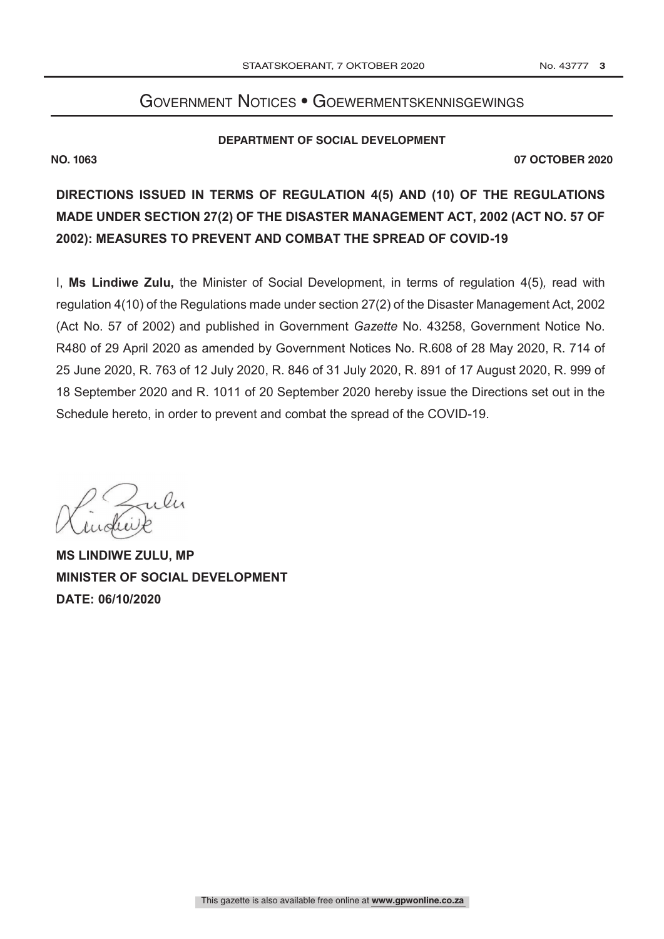## GOVERNMENT NOTICES • GOEWERMENTSKENNISGEWINGS

#### **DEPARTMENT OF SOCIAL DEVELOPMENT**

**NO. 1063 07 OCTOBER 2020**

**DIRECTIONS ISSUED IN TERMS OF REGULATION 4(5) AND (10) OF THE REGULATIONS MADE UNDER SECTION 27(2) OF THE DISASTER MANAGEMENT ACT, 2002 (ACT NO. 57 OF 2002): MEASURES TO PREVENT AND COMBAT THE SPREAD OF COVID-19**

I, **Ms Lindiwe Zulu,** the Minister of Social Development, in terms of regulation 4(5)*,* read with regulation 4(10) of the Regulations made under section 27(2) of the Disaster Management Act, 2002 (Act No. 57 of 2002) and published in Government *Gazette* No. 43258, Government Notice No. R480 of 29 April 2020 as amended by Government Notices No. R.608 of 28 May 2020, R. 714 of 25 June 2020, R. 763 of 12 July 2020, R. 846 of 31 July 2020, R. 891 of 17 August 2020, R. 999 of 18 September 2020 and R. 1011 of 20 September 2020 hereby issue the Directions set out in the Schedule hereto, in order to prevent and combat the spread of the COVID-19.

 $\mathfrak{c}_1$ 

**MS LINDIWE ZULU, MP MINISTER OF SOCIAL DEVELOPMENT DATE: 06/10/2020**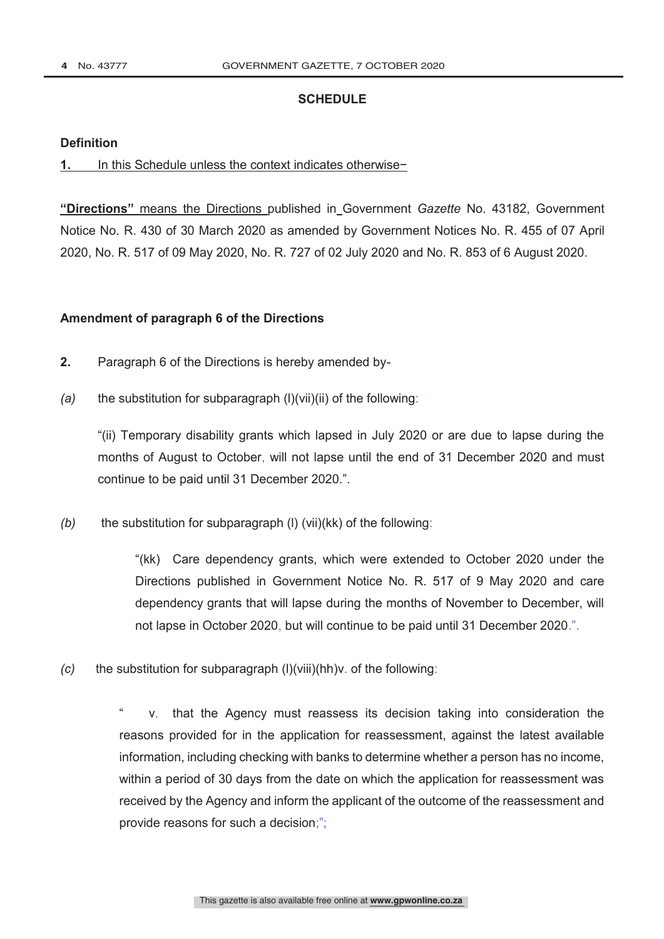#### **SCHEDULE**

#### **Definition**

#### **1.** In this Schedule unless the context indicates otherwise−

**"Directions"** means the Directions published in Government *Gazette* No. 43182, Government Notice No. R. 430 of 30 March 2020 as amended by Government Notices No. R. 455 of 07 April 2020, No. R. 517 of 09 May 2020, No. R. 727 of 02 July 2020 and No. R. 853 of 6 August 2020.

#### **Amendment of paragraph 6 of the Directions**

- **2.** Paragraph 6 of the Directions is hereby amended by-
- *(a)* the substitution for subparagraph (l)(vii)(ii) of the following:

"(ii) Temporary disability grants which lapsed in July 2020 or are due to lapse during the months of August to October, will not lapse until the end of 31 December 2020 and must continue to be paid until 31 December 2020.".

*(b)* the substitution for subparagraph (l) (vii)(kk) of the following:

"(kk) Care dependency grants, which were extended to October 2020 under the Directions published in Government Notice No. R. 517 of 9 May 2020 and care dependency grants that will lapse during the months of November to December, will not lapse in October 2020, but will continue to be paid until 31 December 2020.".

*(c)* the substitution for subparagraph (l)(viii)(hh)v. of the following:

v. that the Agency must reassess its decision taking into consideration the reasons provided for in the application for reassessment, against the latest available information, including checking with banks to determine whether a person has no income, within a period of 30 days from the date on which the application for reassessment was received by the Agency and inform the applicant of the outcome of the reassessment and provide reasons for such a decision;";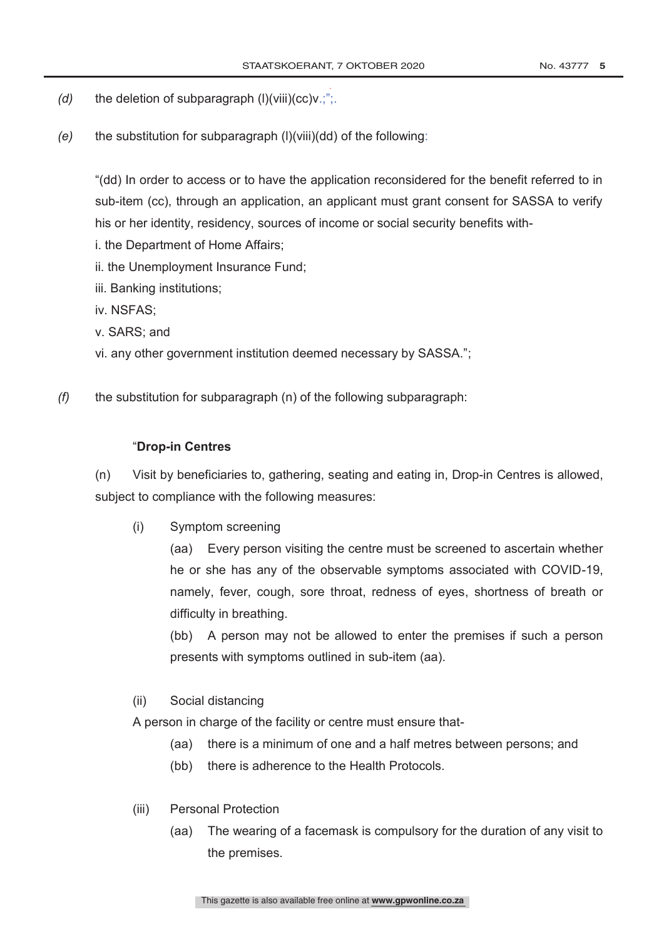.

- *(d)* the deletion of subparagraph (l)(viii)(cc)v.;";.
- *(e)* the substitution for subparagraph (l)(viii)(dd) of the following:

"(dd) In order to access or to have the application reconsidered for the benefit referred to in sub-item (cc), through an application, an applicant must grant consent for SASSA to verify his or her identity, residency, sources of income or social security benefits with-

- i. the Department of Home Affairs;
- ii. the Unemployment Insurance Fund;
- iii. Banking institutions;
- iv. NSFAS;
- v. SARS; and
- vi. any other government institution deemed necessary by SASSA.";
- *(f)* the substitution for subparagraph (n) of the following subparagraph:

#### "**Drop-in Centres**

(n) Visit by beneficiaries to, gathering, seating and eating in, Drop-in Centres is allowed, subject to compliance with the following measures:

(i) Symptom screening

(aa) Every person visiting the centre must be screened to ascertain whether he or she has any of the observable symptoms associated with COVID-19, namely, fever, cough, sore throat, redness of eyes, shortness of breath or difficulty in breathing.

(bb) A person may not be allowed to enter the premises if such a person presents with symptoms outlined in sub-item (aa).

#### (ii) Social distancing

A person in charge of the facility or centre must ensure that-

- (aa) there is a minimum of one and a half metres between persons; and
- (bb) there is adherence to the Health Protocols.
- (iii) Personal Protection
	- (aa) The wearing of a facemask is compulsory for the duration of any visit to the premises.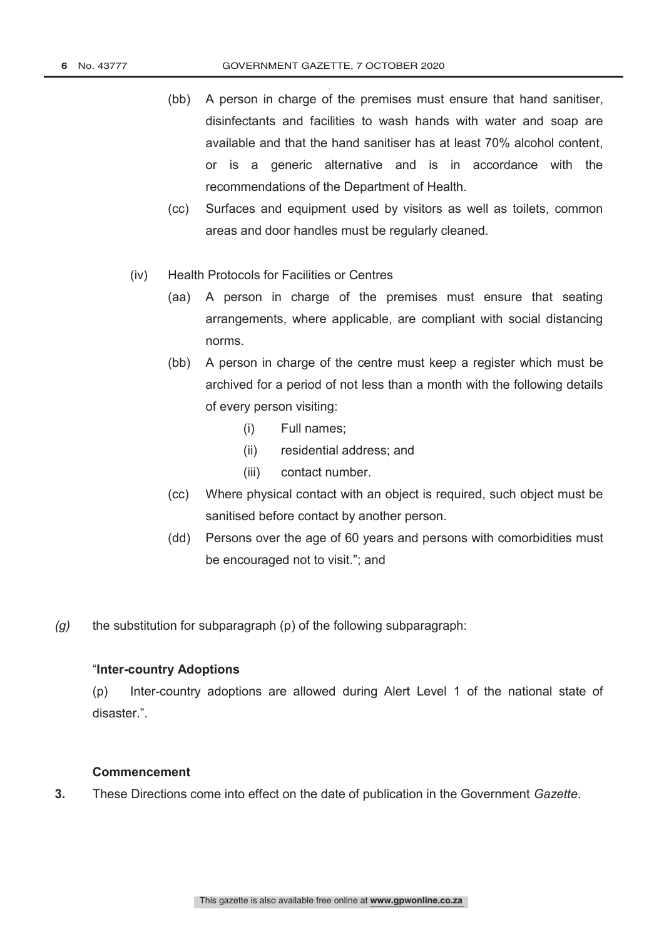- . (bb) A person in charge of the premises must ensure that hand sanitiser, disinfectants and facilities to wash hands with water and soap are available and that the hand sanitiser has at least 70% alcohol content, or is a generic alternative and is in accordance with the recommendations of the Department of Health.
- (cc) Surfaces and equipment used by visitors as well as toilets, common areas and door handles must be regularly cleaned.
- (iv) Health Protocols for Facilities or Centres
	- (aa) A person in charge of the premises must ensure that seating arrangements, where applicable, are compliant with social distancing norms.
	- (bb) A person in charge of the centre must keep a register which must be archived for a period of not less than a month with the following details of every person visiting:
		- (i) Full names;
		- (ii) residential address; and
		- (iii) contact number.
	- (cc) Where physical contact with an object is required, such object must be sanitised before contact by another person.
	- (dd) Persons over the age of 60 years and persons with comorbidities must be encouraged not to visit."; and
- *(g)* the substitution for subparagraph (p) of the following subparagraph:

#### "**Inter-country Adoptions**

(p) Inter-country adoptions are allowed during Alert Level 1 of the national state of disaster.".

#### **Commencement**

**3.** These Directions come into effect on the date of publication in the Government *Gazette*.